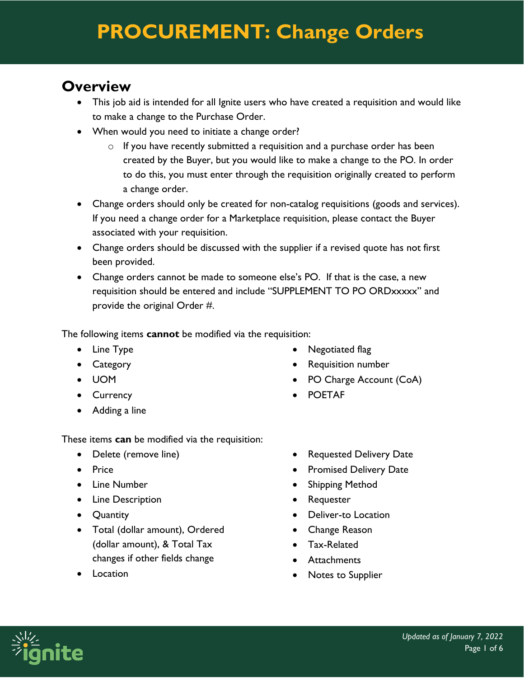### **Overview**

- This job aid is intended for all Ignite users who have created a requisition and would like to make a change to the Purchase Order.
- When would you need to initiate a change order?
	- o If you have recently submitted a requisition and a purchase order has been created by the Buyer, but you would like to make a change to the PO. In order to do this, you must enter through the requisition originally created to perform a change order.
- Change orders should only be created for non-catalog requisitions (goods and services). If you need a change order for a Marketplace requisition, please contact the Buyer associated with your requisition.
- Change orders should be discussed with the supplier if a revised quote has not first been provided.
- Change orders cannot be made to someone else's PO. If that is the case, a new requisition should be entered and include "SUPPLEMENT TO PO ORDxxxxx" and provide the original Order #.

The following items **cannot** be modified via the requisition:

- Line Type
- Category
- UOM
- Currency
- Adding a line

These items **can** be modified via the requisition:

- Delete (remove line)
- Price
- Line Number
- Line Description
- Quantity
- Total (dollar amount), Ordered (dollar amount), & Total Tax changes if other fields change
- Location
- Negotiated flag
- Requisition number
- PO Charge Account (CoA)
- POETAF
- Requested Delivery Date
- Promised Delivery Date
- Shipping Method
- Requester
- Deliver-to Location
- Change Reason
- Tax-Related
- Attachments
- Notes to Supplier

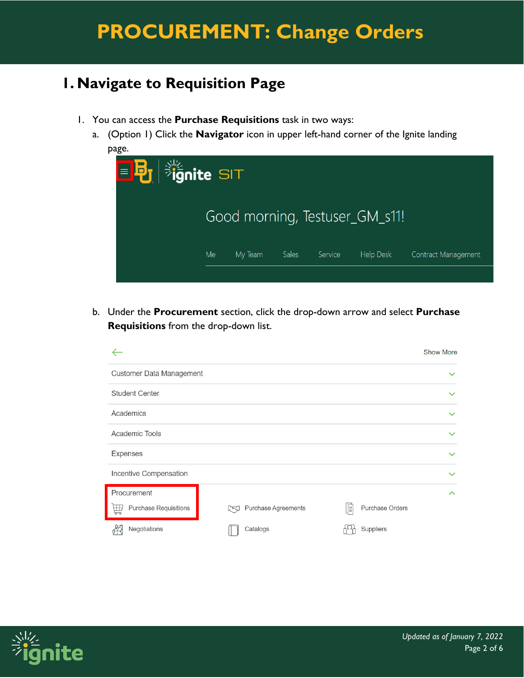### **1. Navigate to Requisition Page**

- 1. You can access the **Purchase Requisitions** task in two ways:
	- a. (Option 1) Click the **Navigator** icon in upper left-hand corner of the Ignite landing page.



b. Under the **Procurement** section, click the drop-down arrow and select **Purchase Requisitions** from the drop-down list.



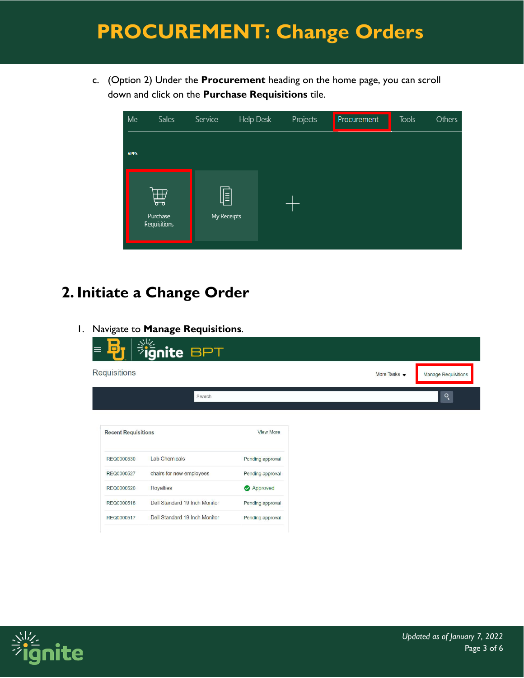c. (Option 2) Under the **Procurement** heading on the home page, you can scroll down and click on the **Purchase Requisitions** tile.

| Me          | Sales                         | Service          | Help Desk | Projects | Procurement | Tools | Others |
|-------------|-------------------------------|------------------|-----------|----------|-------------|-------|--------|
| <b>APPS</b> |                               |                  |           |          |             |       |        |
|             | 曲<br>Purchase<br>Requisitions | Ī<br>My Receipts |           |          |             |       |        |

## **2. Initiate a Change Order**

1. Navigate to **Manage Requisitions**.

|                            | ignite BPT                    |                  |  |                      |
|----------------------------|-------------------------------|------------------|--|----------------------|
| Requisitions               |                               |                  |  | More Tasks $\bullet$ |
|                            | Search                        |                  |  |                      |
|                            |                               |                  |  |                      |
|                            |                               |                  |  |                      |
| <b>Recent Requisitions</b> |                               | <b>View More</b> |  |                      |
| REQ0000530                 | <b>Lab Chemicals</b>          | Pending approval |  |                      |
| REQ0000527                 | chairs for new employees      | Pending approval |  |                      |
| REQ0000520                 | <b>Royalties</b>              | Approved         |  |                      |
| REQ0000518                 | Dell Standard 19 Inch Monitor | Pending approval |  |                      |

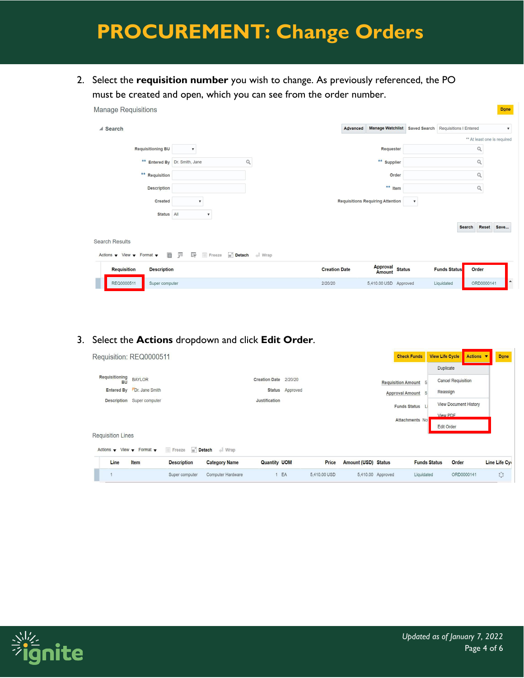2. Select the **requisition number** you wish to change. As previously referenced, the PO must be created and open, which you can see from the order number.

| <b>Manage Requisitions</b>                                                              |                                       |                      |                                                      |                              | Done                      |
|-----------------------------------------------------------------------------------------|---------------------------------------|----------------------|------------------------------------------------------|------------------------------|---------------------------|
| ▲ Search                                                                                |                                       | Advanced             | Manage Watchlist Saved Search Requisitions   Entered |                              | $\boldsymbol{\mathrm{v}}$ |
|                                                                                         |                                       |                      |                                                      | ** At least one is required  |                           |
| <b>Requisitioning BU</b>                                                                | $\overline{\mathbf{v}}$               |                      | Requester                                            | Q                            |                           |
|                                                                                         | ** Entered By Dr. Smith, Jane<br>Q    |                      | ** Supplier                                          | Q                            |                           |
| ** Requisition                                                                          |                                       |                      | Order                                                | Q                            |                           |
| <b>Description</b>                                                                      |                                       |                      | ** Item                                              | $\hbox{Q}$                   |                           |
| Created                                                                                 |                                       |                      | <b>Requisitions Requiring Attention</b>              |                              |                           |
| Status All                                                                              | $\boldsymbol{\mathrm{v}}$             |                      |                                                      |                              |                           |
|                                                                                         |                                       |                      |                                                      | <b>Reset</b><br>Search       | Save                      |
| <b>Search Results</b>                                                                   |                                       |                      |                                                      |                              |                           |
| E<br>Actions $\blacktriangledown$ View $\blacktriangledown$ Format $\blacktriangledown$ | 驆<br>晖<br>Detach<br><b>III</b> Freeze | $\parallel$ Wrap     |                                                      |                              |                           |
| <b>Requisition</b><br><b>Description</b>                                                |                                       | <b>Creation Date</b> | Approval<br>Amount Status                            | Order<br><b>Funds Status</b> |                           |
| REQ0000511<br>Super computer                                                            |                                       | 2/20/20              | 5,410.00 USD Approved                                | ORD0000141<br>Liquidated     | L.                        |

#### 3. Select the **Actions** dropdown and click **Edit Order**.

| Requisition: REQ0000511                           |                            |                    |                      |                       |                 |              |                            | <b>Check Funds</b>        |                     | <b>View Life Cycle</b>       | Actions <b>v</b> | Done                                                |
|---------------------------------------------------|----------------------------|--------------------|----------------------|-----------------------|-----------------|--------------|----------------------------|---------------------------|---------------------|------------------------------|------------------|-----------------------------------------------------|
|                                                   |                            |                    |                      |                       |                 |              |                            |                           |                     | <b>Duplicate</b>             |                  |                                                     |
| Requisitioning<br><b>BU</b>                       | <b>BAYLOR</b>              |                    |                      | Creation Date 2/20/20 |                 |              |                            | <b>Requisition Amount</b> |                     | <b>Cancel Requisition</b>    |                  |                                                     |
| <b>Entered By</b>                                 | Dr. Jane Smith             |                    |                      |                       | Status Approved |              |                            | <b>Approval Amount</b>    |                     | Reassign                     |                  |                                                     |
|                                                   | Description Super computer |                    |                      | Justification         |                 |              |                            | <b>Funds Status</b>       |                     | <b>View Document History</b> |                  |                                                     |
|                                                   |                            |                    |                      |                       |                 |              |                            | Attachments No            |                     | View PDF                     |                  |                                                     |
|                                                   |                            |                    |                      |                       |                 |              |                            |                           |                     | <b>Edit Order</b>            |                  |                                                     |
| <b>Requisition Lines</b>                          |                            |                    |                      |                       |                 |              |                            |                           |                     |                              |                  |                                                     |
| Actions $\bullet$ View $\bullet$ Format $\bullet$ |                            | Freeze             | Detach Wrap          |                       |                 |              |                            |                           |                     |                              |                  |                                                     |
| Line                                              | <b>Item</b>                | <b>Description</b> | <b>Category Name</b> | <b>Quantity UOM</b>   |                 | <b>Price</b> | <b>Amount (USD) Status</b> |                           | <b>Funds Status</b> | Order                        |                  | Line Life Cy                                        |
|                                                   |                            | Super computer     | Computer Hardware    |                       | EA              | 5,410.00 USD |                            | 5,410.00 Approved         | Liquidated          |                              | ORD0000141       | $\overline{\mathcal{L}}_{\mathbf{a}}^{\mathcal{P}}$ |

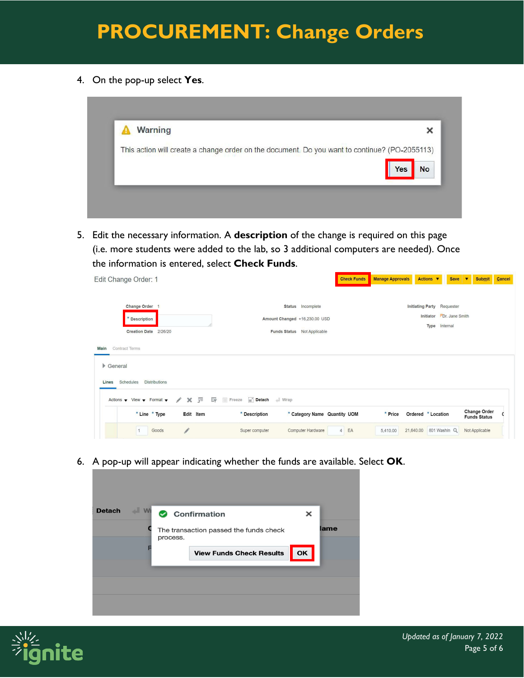4. On the pop-up select **Yes**.



5. Edit the necessary information. A **description** of the change is required on this page (i.e. more students were added to the lab, so 3 additional computers are needed). Once the information is entered, select **Check Funds**.

| Edit Change Order: 1                                                                                                                   |                                                                                   | <b>Check Funds</b>   | <b>Manage Approvals</b> | Actions ▼<br><b>Save</b>                                                | l.v<br><b>Submit</b>                       | Cancel |
|----------------------------------------------------------------------------------------------------------------------------------------|-----------------------------------------------------------------------------------|----------------------|-------------------------|-------------------------------------------------------------------------|--------------------------------------------|--------|
| <b>Change Order</b><br>* Description<br>Creation Date 2/26/20                                                                          | Status Incomplete<br>Amount Changed +16,230.00 USD<br>Funds Status Not Applicable |                      |                         | Initiating Party Requester<br>Initiator Dr. Jane Smith<br>Type Internal |                                            |        |
| <b>Contract Terms</b><br>Main<br>$\triangleright$ General<br><b>Distributions</b><br>Schedules<br>Lines                                |                                                                                   |                      |                         |                                                                         |                                            |        |
| 異<br>Actions $\blacktriangledown$ View $\blacktriangledown$ Format $\blacktriangledown$<br>v<br>$\times$<br>* Line * Type<br>Edit Item | Detach<br>辟<br>Freeze<br>Wrap<br>* Category Name Quantity UOM<br>* Description    |                      | * Price                 | Ordered * Location                                                      | <b>Change Order</b><br><b>Funds Status</b> |        |
| <b>I</b><br>Goods                                                                                                                      | Computer Hardware<br>Super computer                                               | EA<br>$\overline{4}$ | 21,640.00<br>5,410.00   | 801 Washin Q                                                            | Not Applicable                             |        |

6. A pop-up will appear indicating whether the funds are available. Select **OK**.